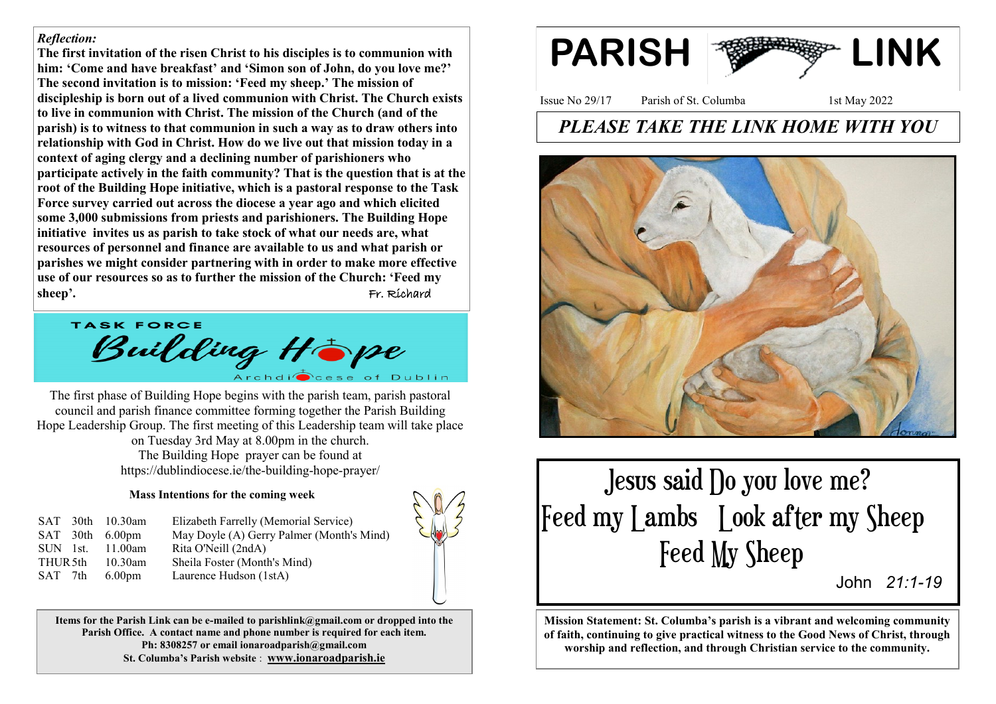### *Reflection:*

**The first invitation of the risen Christ to his disciples is to communion with him: 'Come and have breakfast' and 'Simon son of John, do you love me?' The second invitation is to mission: 'Feed my sheep.' The mission of discipleship is born out of a lived communion with Christ. The Church exists to live in communion with Christ. The mission of the Church (and of the parish) is to witness to that communion in such a way as to draw others into relationship with God in Christ. How do we live out that mission today in a context of aging clergy and a declining number of parishioners who participate actively in the faith community? That is the question that is at the root of the Building Hope initiative, which is a pastoral response to the Task Force survey carried out across the diocese a year ago and which elicited some 3,000 submissions from priests and parishioners. The Building Hope initiative invites us as parish to take stock of what our needs are, what resources of personnel and finance are available to us and what parish or parishes we might consider partnering with in order to make more effective use of our resources so as to further the mission of the Church: 'Feed my sheep'.** Fr. Richard

**TASK FORCE** Building Hope

The first phase of Building Hope begins with the parish team, parish pastoral council and parish finance committee forming together the Parish Building Hope Leadership Group. The first meeting of this Leadership team will take place on Tuesday 3rd May at 8.00pm in the church. The Building Hope prayer can be found at https://dublindiocese.ie/the-building-hope-prayer/

### **Mass Intentions for the coming week**

|                     | SAT 30th 10.30am   | Elizabeth Farrelly (Memorial Service)     |
|---------------------|--------------------|-------------------------------------------|
|                     | $SAT$ 30th 6.00pm  | May Doyle (A) Gerry Palmer (Month's Mind) |
| SUN 1st.            | 11.00 $am$         | Rita O'Neill (2ndA)                       |
| THUR <sub>5th</sub> | $10.30$ am         | Sheila Foster (Month's Mind)              |
| SAT 7th             | 6.00 <sub>pm</sub> | Laurence Hudson (1stA)                    |

**Items for the Parish Link can be e-mailed to parishlink@gmail.com or dropped into the Parish Office. A contact name and phone number is required for each item. Ph: 8308257 or email ionaroadparish@gmail.com St. Columba's Parish website** : **www.ionaroadparish.ie** 



Issue No 29/17 Parish of St. Columba 1st May 2022

# *PLEASE TAKE THE LINK HOME WITH YOU*



 Jesus said Do you love me? Feed my Lambs Look after my Sheep Feed My Sheep

John *21:1-<sup>19</sup>*

**Mission Statement: St. Columba's parish is a vibrant and welcoming community of faith, continuing to give practical witness to the Good News of Christ, through worship and reflection, and through Christian service to the community.**